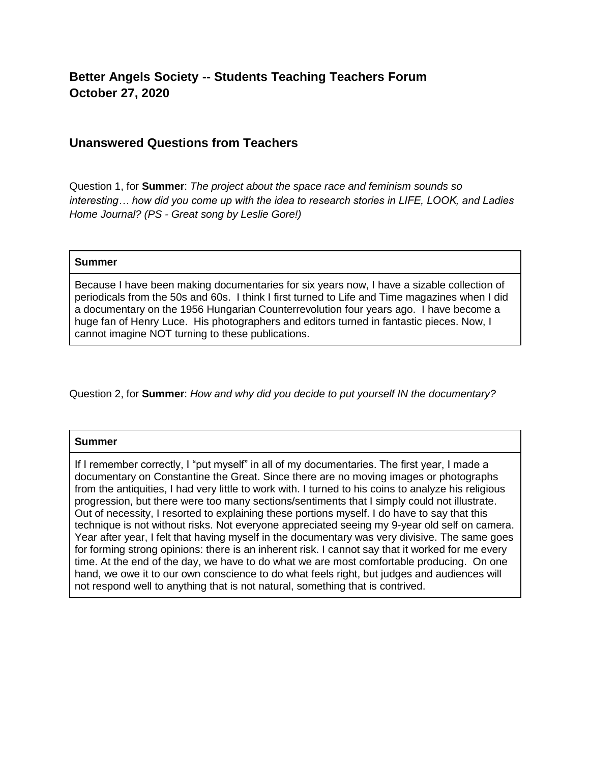## **Better Angels Society -- Students Teaching Teachers Forum October 27, 2020**

## **Unanswered Questions from Teachers**

Question 1, for **Summer**: *The project about the space race and feminism sounds so interesting… how did you come up with the idea to research stories in LIFE, LOOK, and Ladies Home Journal? (PS - Great song by Leslie Gore!)*

## **Summer**

Because I have been making documentaries for six years now, I have a sizable collection of periodicals from the 50s and 60s. I think I first turned to Life and Time magazines when I did a documentary on the 1956 Hungarian Counterrevolution four years ago. I have become a huge fan of Henry Luce. His photographers and editors turned in fantastic pieces. Now, I cannot imagine NOT turning to these publications.

Question 2, for **Summer**: *How and why did you decide to put yourself IN the documentary?*

## **Summer**

If I remember correctly, I "put myself" in all of my documentaries. The first year, I made a documentary on Constantine the Great. Since there are no moving images or photographs from the antiquities, I had very little to work with. I turned to his coins to analyze his religious progression, but there were too many sections/sentiments that I simply could not illustrate. Out of necessity, I resorted to explaining these portions myself. I do have to say that this technique is not without risks. Not everyone appreciated seeing my 9-year old self on camera. Year after year, I felt that having myself in the documentary was very divisive. The same goes for forming strong opinions: there is an inherent risk. I cannot say that it worked for me every time. At the end of the day, we have to do what we are most comfortable producing. On one hand, we owe it to our own conscience to do what feels right, but judges and audiences will not respond well to anything that is not natural, something that is contrived.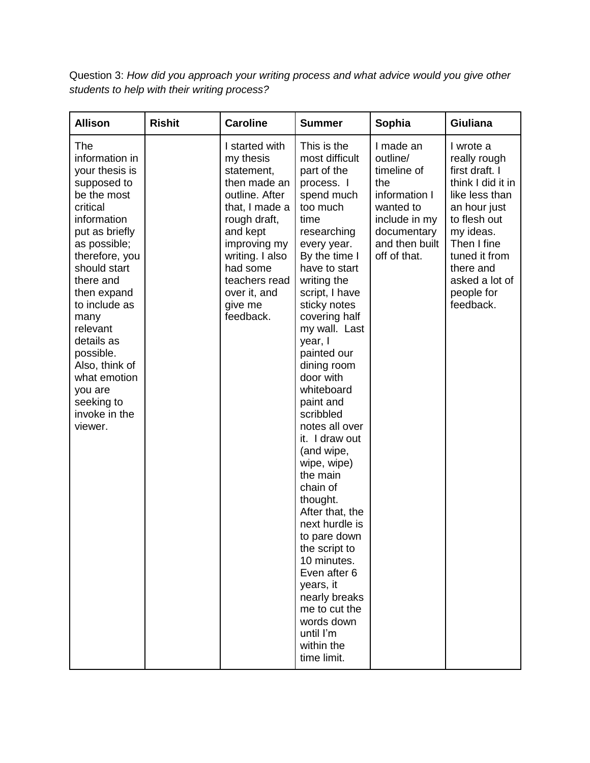Question 3: *How did you approach your writing process and what advice would you give other students to help with their writing process?*

| <b>Allison</b>                                                                                                                                                                                                                                                                                                                                          | <b>Rishit</b> | <b>Caroline</b>                                                                                                                                                                                                                   | <b>Summer</b>                                                                                                                                                                                                                                                                                                                                                                                                                                                                                                                                                                                                                                                  | Sophia                                                                                                                                      | <b>Giuliana</b>                                                                                                                                                                                                           |
|---------------------------------------------------------------------------------------------------------------------------------------------------------------------------------------------------------------------------------------------------------------------------------------------------------------------------------------------------------|---------------|-----------------------------------------------------------------------------------------------------------------------------------------------------------------------------------------------------------------------------------|----------------------------------------------------------------------------------------------------------------------------------------------------------------------------------------------------------------------------------------------------------------------------------------------------------------------------------------------------------------------------------------------------------------------------------------------------------------------------------------------------------------------------------------------------------------------------------------------------------------------------------------------------------------|---------------------------------------------------------------------------------------------------------------------------------------------|---------------------------------------------------------------------------------------------------------------------------------------------------------------------------------------------------------------------------|
| The<br>information in<br>your thesis is<br>supposed to<br>be the most<br>critical<br>information<br>put as briefly<br>as possible;<br>therefore, you<br>should start<br>there and<br>then expand<br>to include as<br>many<br>relevant<br>details as<br>possible.<br>Also, think of<br>what emotion<br>you are<br>seeking to<br>invoke in the<br>viewer. |               | I started with<br>my thesis<br>statement,<br>then made an<br>outline. After<br>that, I made a<br>rough draft,<br>and kept<br>improving my<br>writing. I also<br>had some<br>teachers read<br>over it, and<br>give me<br>feedback. | This is the<br>most difficult<br>part of the<br>process. I<br>spend much<br>too much<br>time<br>researching<br>every year.<br>By the time I<br>have to start<br>writing the<br>script, I have<br>sticky notes<br>covering half<br>my wall. Last<br>year, I<br>painted our<br>dining room<br>door with<br>whiteboard<br>paint and<br>scribbled<br>notes all over<br>it. I draw out<br>(and wipe,<br>wipe, wipe)<br>the main<br>chain of<br>thought.<br>After that, the<br>next hurdle is<br>to pare down<br>the script to<br>10 minutes.<br>Even after 6<br>years, it<br>nearly breaks<br>me to cut the<br>words down<br>until I'm<br>within the<br>time limit. | I made an<br>outline/<br>timeline of<br>the<br>information I<br>wanted to<br>include in my<br>documentary<br>and then built<br>off of that. | I wrote a<br>really rough<br>first draft. I<br>think I did it in<br>like less than<br>an hour just<br>to flesh out<br>my ideas.<br>Then I fine<br>tuned it from<br>there and<br>asked a lot of<br>people for<br>feedback. |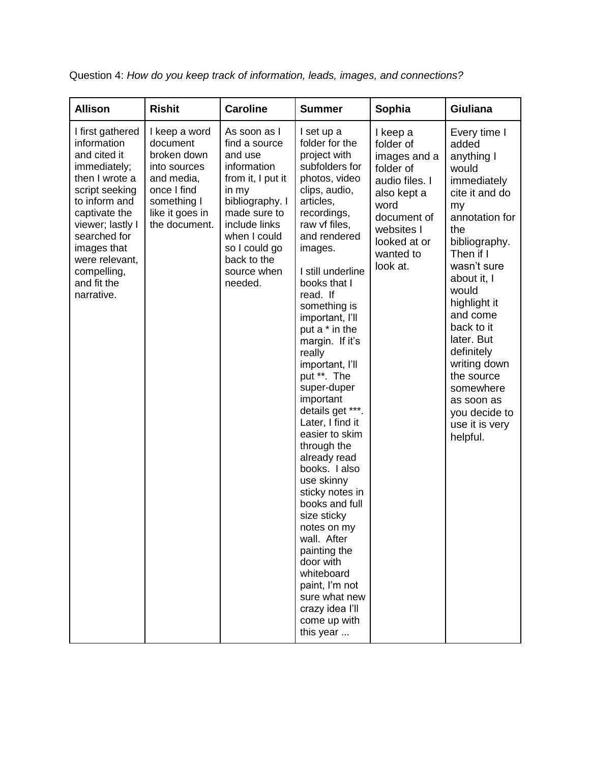| <b>Allison</b>                                                                                                                                                                                                                                         | <b>Rishit</b>                                                                                                                            | <b>Caroline</b>                                                                                                                                                                                                     | <b>Summer</b>                                                                                                                                                                                                                                                                                                                                                                                                                                                                                                                                                                                                                                                                                                     | Sophia                                                                                                                                                            | <b>Giuliana</b>                                                                                                                                                                                                                                                                                                                                                 |
|--------------------------------------------------------------------------------------------------------------------------------------------------------------------------------------------------------------------------------------------------------|------------------------------------------------------------------------------------------------------------------------------------------|---------------------------------------------------------------------------------------------------------------------------------------------------------------------------------------------------------------------|-------------------------------------------------------------------------------------------------------------------------------------------------------------------------------------------------------------------------------------------------------------------------------------------------------------------------------------------------------------------------------------------------------------------------------------------------------------------------------------------------------------------------------------------------------------------------------------------------------------------------------------------------------------------------------------------------------------------|-------------------------------------------------------------------------------------------------------------------------------------------------------------------|-----------------------------------------------------------------------------------------------------------------------------------------------------------------------------------------------------------------------------------------------------------------------------------------------------------------------------------------------------------------|
| I first gathered<br>information<br>and cited it<br>immediately;<br>then I wrote a<br>script seeking<br>to inform and<br>captivate the<br>viewer; lastly I<br>searched for<br>images that<br>were relevant,<br>compelling,<br>and fit the<br>narrative. | I keep a word<br>document<br>broken down<br>into sources<br>and media,<br>once I find<br>something I<br>like it goes in<br>the document. | As soon as I<br>find a source<br>and use<br>information<br>from it, I put it<br>in my<br>bibliography. I<br>made sure to<br>include links<br>when I could<br>so I could go<br>back to the<br>source when<br>needed. | I set up a<br>folder for the<br>project with<br>subfolders for<br>photos, video<br>clips, audio,<br>articles,<br>recordings,<br>raw vf files,<br>and rendered<br>images.<br>I still underline<br>books that I<br>read. If<br>something is<br>important, I'll<br>put a * in the<br>margin. If it's<br>really<br>important, I'll<br>put **. The<br>super-duper<br>important<br>details get ***.<br>Later, I find it<br>easier to skim<br>through the<br>already read<br>books. I also<br>use skinny<br>sticky notes in<br>books and full<br>size sticky<br>notes on my<br>wall. After<br>painting the<br>door with<br>whiteboard<br>paint, I'm not<br>sure what new<br>crazy idea l'Il<br>come up with<br>this year | I keep a<br>folder of<br>images and a<br>folder of<br>audio files. I<br>also kept a<br>word<br>document of<br>websites I<br>looked at or<br>wanted to<br>look at. | Every time I<br>added<br>anything I<br>would<br>immediately<br>cite it and do<br>my<br>annotation for<br>the<br>bibliography.<br>Then if I<br>wasn't sure<br>about it, I<br>would<br>highlight it<br>and come<br>back to it<br>later. But<br>definitely<br>writing down<br>the source<br>somewhere<br>as soon as<br>you decide to<br>use it is very<br>helpful. |

Question 4: *How do you keep track of information, leads, images, and connections?*